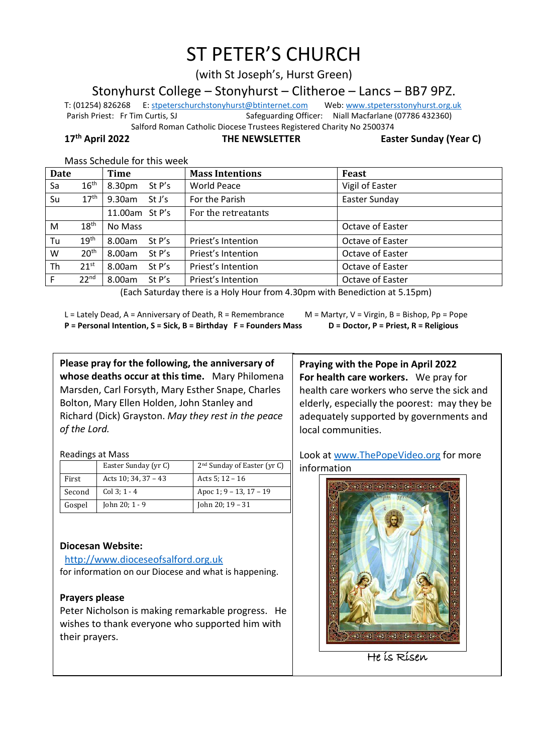# ST PETER'S CHURCH

(with St Joseph's, Hurst Green)

Stonyhurst College – Stonyhurst – Clitheroe – Lancs – BB7 9PZ.

T: (01254) 826268 E[: stpeterschurchstonyhurst@btinternet.com](mailto:stpeterschurchstonyhurst@btinternet.com) Web[: www.stpetersstonyhurst.org.uk](http://www.stpetersstonyhurst.org.uk/) Parish Priest: Fr Tim Curtis, SJ Safeguarding Officer: Niall Macfarlane (07786 432360) Salford Roman Catholic Diocese Trustees Registered Charity No 2500374

**17th April 2022 THE NEWSLETTER Easter Sunday (Year C)**

| <b>Date</b> |                  | Time             | <b>Mass Intentions</b> | <b>Feast</b>     |
|-------------|------------------|------------------|------------------------|------------------|
| Sa          | $16^{\text{th}}$ | St P's<br>8.30pm | <b>World Peace</b>     | Vigil of Easter  |
| Su          | $17^{\text{th}}$ | 9.30am<br>St J's | For the Parish         | Easter Sunday    |
|             |                  | 11.00am St P's   | For the retreatants    |                  |
| м           | $18^{\text{th}}$ | No Mass          |                        | Octave of Easter |
| Tu          | 19 <sup>th</sup> | 8.00am<br>St P's | Priest's Intention     | Octave of Easter |
| W           | 20 <sup>th</sup> | 8.00am<br>St P's | Priest's Intention     | Octave of Easter |
| Th          | $21^{st}$        | 8.00am<br>St P's | Priest's Intention     | Octave of Easter |
| F           | 22 <sup>nd</sup> | 8.00am<br>St P's | Priest's Intention     | Octave of Easter |

Mass Schedule for this week

(Each Saturday there is a Holy Hour from 4.30pm with Benediction at 5.15pm)

L = Lately Dead, A = Anniversary of Death, R = Remembrance  $M =$  M = Martyr, V = Virgin, B = Bishop, Pp = Pope **P = Personal Intention, S = Sick, B = Birthday F = Founders Mass D = Doctor, P = Priest, R = Religious**

**Please pray for the following, the anniversary of whose deaths occur at this time.** Mary Philomena Marsden, Carl Forsyth, Mary Esther Snape, Charles Bolton, Mary Ellen Holden, John Stanley and Richard (Dick) Grayston. *May they rest in the peace of the Lord.*

Readings at Mass

|        | Easter Sunday (yr C) | 2 <sup>nd</sup> Sunday of Easter (yr C) |
|--------|----------------------|-----------------------------------------|
| First  | Acts $10:34,37-43$   | Acts 5: $12 - 16$                       |
| Second | Col 3: $1 - 4$       | Apoc 1; 9 – 13, 17 – 19                 |
| Gospel | John 20; $1 - 9$     | John 20; $19 - 31$                      |

## **Diocesan Website:**

http://www.dioceseofsalford.org.uk for information on our Diocese and what is happening.

### **Prayers please**

Peter Nicholson is making remarkable progress. He wishes to thank everyone who supported him with their prayers.

**Praying with the Pope in April 2022 For health care workers.** We pray for health care workers who serve the sick and elderly, especially the poorest: may they be adequately supported by governments and local communities.

Look at www.ThePopeVideo.org for more information



He is Risen  $\overline{a}$